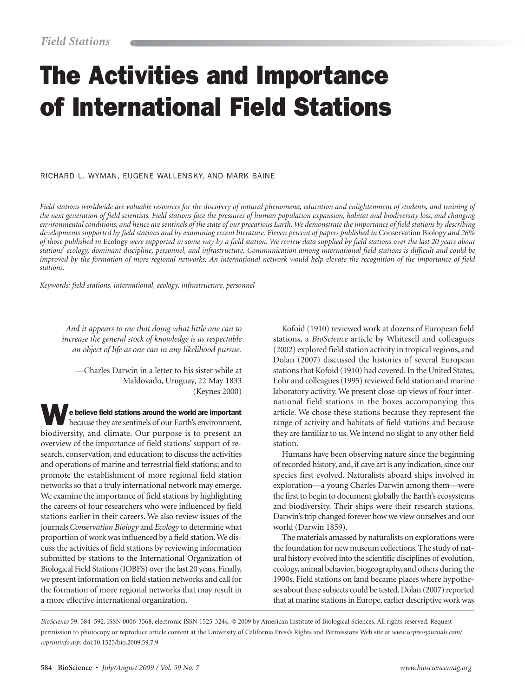# The Activities and Importance of International Field Stations

RICHARD L. WYMAN, EUGENE WALLENSKY, AND MARK BAINE

*Field stations worldwide are valuable resources for the discovery of natural phenomena, education and enlightenment of students, and training of the next generation of field scientists. Field stations face the pressures of human population expansion, habitat and biodiversity loss, and changing environmental conditions, and hence are sentinels of the state of our precarious Earth. We demonstrate the importance of field stations by describing developments supported by field stations and by examining recent literature. Eleven percent of papers published in* Conservation Biology *and 26% of those published in* Ecology *were supported in some way by a field station. We review data supplied by field stations over the last 20 years about stations' ecology, dominant discipline, personnel, and infrastructure. Communication among international field stations is difficult and could be improved by the formation of more regional networks. An international network would help elevate the recognition of the importance of field stations.* 

*Keywords: field stations, international, ecology, infrastructure, personnel*

*And it appears to me that doing what little one can to increase the general stock of knowledge is as respectable an object of life as one can in any likelihood pursue.*

—Charles Darwin in a letter to his sister while at Maldovado, Uruguay, 22 May 1833 (Keynes 2000)

e believe field stations around the world are important because they are sentinels of our Earth's environment, biodiversity, and climate. Our purpose is to present an overview of the importance of field stations' support of research, conservation, and education; to discuss the activities and operations of marine and terrestrial field stations; and to promote the establishment of more regional field station networks so that a truly international network may emerge. We examine the importance of field stations by highlighting the careers of four researchers who were influenced by field stations earlier in their careers. We also review issues of the journals *Conservation Biology* and *Ecology* to determine what proportion of work was influenced by a field station. We discuss the activities of field stations by reviewing information submitted by stations to the International Organization of Biological Field Stations (IOBFS) over the last 20 years. Finally, we present information on field station networks and call for the formation of more regional networks that may result in a more effective international organization.

Kofoid (1910) reviewed work at dozens of European field stations, a *BioScience* article by Whitesell and colleagues (2002) explored field station activity in tropical regions, and Dolan (2007) discussed the histories of several European stations that Kofoid (1910) had covered. In the United States, Lohr and colleagues (1995) reviewed field station and marine laboratory activity. We present close-up views of four international field stations in the boxes accompanying this article. We chose these stations because they represent the range of activity and habitats of field stations and because they are familiar to us. We intend no slight to any other field station.

Humans have been observing nature since the beginning of recorded history, and, if cave art is any indication, since our species first evolved. Naturalists aboard ships involved in exploration—a young Charles Darwin among them—were the first to begin to document globally the Earth's ecosystems and biodiversity. Their ships were their research stations. Darwin's trip changed forever how we view ourselves and our world (Darwin 1859).

The materials amassed by naturalists on explorations were the foundation for new museum collections. The study of natural history evolved into the scientific disciplines of evolution, ecology, animal behavior, biogeography, and others during the 1900s. Field stations on land became places where hypotheses about these subjects could be tested. Dolan (2007) reported that at marine stations in Europe, earlier descriptive work was

*BioScience* 59: 584–592. ISSN 0006-3568, electronic ISSN 1525-3244. © 2009 by American Institute of Biological Sciences. All rights reserved. Request permission to photocopy or reproduce article content at the University of California Press's Rights and Permissions Web site at *www.ucpressjournals.com/ reprintinfo.asp.* doi:10.1525/bio.2009.59.7.9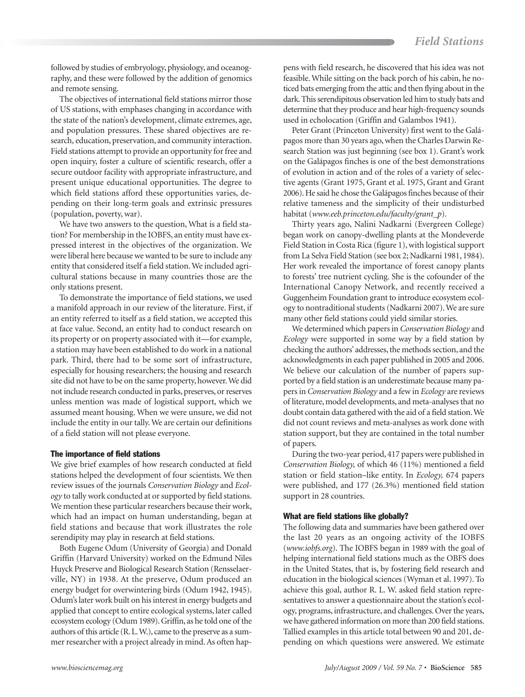followed by studies of embryology, physiology, and oceanography, and these were followed by the addition of genomics and remote sensing.

The objectives of international field stations mirror those of US stations, with emphases changing in accordance with the state of the nation's development, climate extremes, age, and population pressures. These shared objectives are research, education, preservation, and community interaction. Field stations attempt to provide an opportunity for free and open inquiry, foster a culture of scientific research, offer a secure outdoor facility with appropriate infrastructure, and present unique educational opportunities. The degree to which field stations afford these opportunities varies, depending on their long-term goals and extrinsic pressures (population, poverty, war).

We have two answers to the question, What is a field station? For membership in the IOBFS, an entity must have expressed interest in the objectives of the organization. We were liberal here because we wanted to be sure to include any entity that considered itself a field station. We included agricultural stations because in many countries those are the only stations present.

To demonstrate the importance of field stations, we used a manifold approach in our review of the literature. First, if an entity referred to itself as a field station, we accepted this at face value. Second, an entity had to conduct research on its property or on property associated with it—for example, a station may have been established to do work in a national park. Third, there had to be some sort of infrastructure, especially for housing researchers; the housing and research site did not have to be on the same property, however. We did not include research conducted in parks, preserves, or reserves unless mention was made of logistical support, which we assumed meant housing. When we were unsure, we did not include the entity in our tally. We are certain our definitions of a field station will not please everyone.

# The importance of field stations

We give brief examples of how research conducted at field stations helped the development of four scientists. We then review issues of the journals *Conservation Biology* and *Ecology* to tally work conducted at or supported by field stations. We mention these particular researchers because their work, which had an impact on human understanding, began at field stations and because that work illustrates the role serendipity may play in research at field stations.

Both Eugene Odum (University of Georgia) and Donald Griffin (Harvard University) worked on the Edmund Niles Huyck Preserve and Biological Research Station (Rensselaer ville, NY) in 1938. At the preserve, Odum produced an energy budget for overwintering birds (Odum 1942, 1945). Odum's later work built on his interest in energy budgets and applied that concept to entire ecological systems, later called ecosystem ecology (Odum 1989). Griffin, as he told one of the authors of this article (R. L. W.), came to the preserve as a summer researcher with a project already in mind. As often happens with field research, he discovered that his idea was not feasible. While sitting on the back porch of his cabin, he noticed bats emerging from the attic and then flying about in the dark. This serendipitous observation led him to study bats and determine that they produce and hear high-frequency sounds used in echolocation (Griffin and Galambos 1941).

Peter Grant (Princeton University) first went to the Galápagos more than 30 years ago, when the Charles Darwin Research Station was just beginning (see box 1). Grant's work on the Galápagos finches is one of the best demonstrations of evolution in action and of the roles of a variety of selective agents (Grant 1975, Grant et al. 1975, Grant and Grant 2006). He said he chose the Galápagos finches because of their relative tameness and the simplicity of their undisturbed habitat (*www.eeb.princeton.edu/faculty/grant\_p*).

Thirty years ago, Nalini Nadkarni (Evergreen College) began work on canopy-dwelling plants at the Mondeverde Field Station in Costa Rica (figure 1), with logistical support from La Selva Field Station (see box 2; Nadkarni 1981, 1984). Her work revealed the importance of forest canopy plants to forests' tree nutrient cycling. She is the cofounder of the International Canopy Network, and recently received a Guggenheim Foundation grant to introduce ecosystem ecology to nontraditional students (Nadkarni 2007). We are sure many other field stations could yield similar stories.

We determined which papers in *Conservation Biology* and *Ecology* were supported in some way by a field station by checking the authors' addresses, the methods section, and the acknowledgments in each paper published in 2005 and 2006. We believe our calculation of the number of papers supported by a field station is an underestimate because many papers in *Conservation Biology* and a few in *Ecology* are reviews of literature, model developments, and meta-analyses that no doubt contain data gathered with the aid of a field station. We did not count reviews and meta-analyses as work done with station support, but they are contained in the total number of papers.

During the two-year period, 417 papers were published in *Conservation Biology,* of which 46 (11%) mentioned a field station or field station–like entity. In *Ecology,* 674 papers were published, and 177 (26.3%) mentioned field station support in 28 countries.

# What are field stations like globally?

The following data and summaries have been gathered over the last 20 years as an ongoing activity of the IOBFS (*www.iobfs.org*). The IOBFS began in 1989 with the goal of helping international field stations much as the OBFS does in the United States, that is, by fostering field research and education in the biological sciences (Wyman et al. 1997). To achieve this goal, author R. L. W. asked field station representatives to answer a questionnaire about the station's ecology, programs, infrastructure, and challenges. Over the years, we have gathered information on more than 200 field stations. Tallied examples in this article total between 90 and 201, depending on which questions were answered. We estimate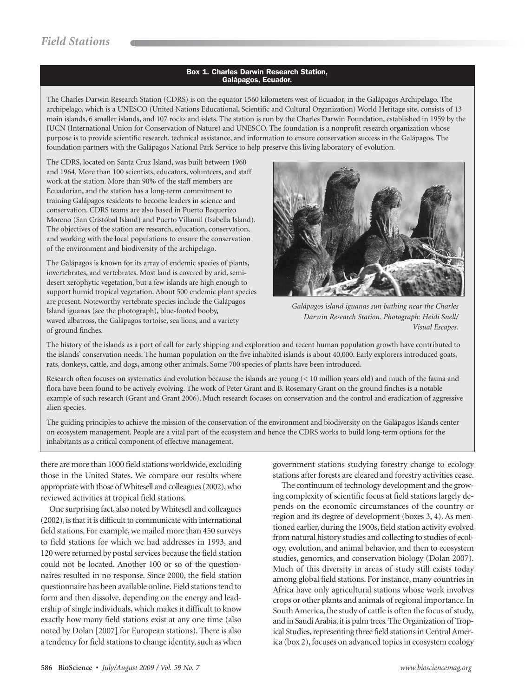# *Field Stations*

#### Box 1. Charles Darwin Research Station, Galápagos, Ecuador.

The Charles Darwin Research Station (CDRS) is on the equator 1560 kilometers west of Ecuador, in the Galápagos Archipelago. The archipelago, which is a UNESCO (United Nations Educational, Scientific and Cultural Organization) World Heritage site, consists of 13 main islands, 6 smaller islands, and 107 rocks and islets. The station is run by the Charles Darwin Foundation, established in 1959 by the IUCN (International Union for Conservation of Nature) and UNESCO. The foundation is a nonprofit research organization whose purpose is to provide scientific research, technical assistance, and information to ensure conservation success in the Galápagos. The foundation partners with the Galápagos National Park Service to help preserve this living laboratory of evolution.

The CDRS, located on Santa Cruz Island, was built between 1960 and 1964. More than 100 scientists, educators, volunteers, and staff work at the station. More than 90% of the staff members are Ecuadorian, and the station has a long-term commitment to training Galápagos residents to become leaders in science and conservation. CDRS teams are also based in Puerto Baquerizo Moreno (San Cristóbal Island) and Puerto Villamil (Isabella Island). The objectives of the station are research, education, conservation, and working with the local populations to ensure the conservation of the environment and biodiversity of the archipelago.

The Galápagos is known for its array of endemic species of plants, invertebrates, and vertebrates. Most land is covered by arid, semidesert xerophytic vegetation, but a few islands are high enough to support humid tropical vegetation. About 500 endemic plant species are present. Noteworthy vertebrate species include the Galápagos Island iguanas (see the photograph), blue-footed booby, waved albatross, the Galápagos tortoise, sea lions, and a variety of ground finches.



*Galápagos island iguanas sun bathing near the Charles Darwin Research Station. Photograph: Heidi Snell/ Visual Escapes.*

The history of the islands as a port of call for early shipping and exploration and recent human population growth have contributed to the islands' conservation needs. The human population on the five inhabited islands is about 40,000. Early explorers introduced goats, rats, donkeys, cattle, and dogs, among other animals. Some 700 species of plants have been introduced.

Research often focuses on systematics and evolution because the islands are young (< 10 million years old) and much of the fauna and flora have been found to be actively evolving. The work of Peter Grant and B. Rosemary Grant on the ground finches is a notable example of such research (Grant and Grant 2006). Much research focuses on conservation and the control and eradication of aggressive alien species.

The guiding principles to achieve the mission of the conservation of the environment and biodiversity on the Galápagos Islands center on ecosystem management. People are a vital part of the ecosystem and hence the CDRS works to build long-term options for the inhabitants as a critical component of effective management.

there are more than 1000 field stations worldwide, excluding those in the United States. We compare our results where appropriate with those of Whitesell and colleagues (2002), who reviewed activities at tropical field stations.

One surprising fact, also noted by Whitesell and colleagues (2002), is that it is difficult to communicate with international field stations. For example, we mailed more than 450 surveys to field stations for which we had addresses in 1993, and 120 were returned by postal services because the field station could not be located. Another 100 or so of the questionnaires resulted in no response. Since 2000, the field station questionnaire has been available online. Field stations tend to form and then dissolve, depending on the energy and leadership of single individuals, which makes it difficult to know exactly how many field stations exist at any one time (also noted by Dolan [2007] for European stations). There is also a tendency for field stations to change identity, such as when government stations studying forestry change to ecology stations after forests are cleared and forestry activities cease.

The continuum of technology development and the growing complexity of scientific focus at field stations largely depends on the economic circumstances of the country or region and its degree of development (boxes 3, 4). As mentioned earlier, during the 1900s, field station activity evolved from natural history studies and collecting to studies of ecology, evolution, and animal behavior, and then to ecosystem studies, genomics, and conservation biology (Dolan 2007). Much of this diversity in areas of study still exists today among global field stations. For instance, many countries in Africa have only agricultural stations whose work involves crops or other plants and animals of regional importance. In South America, the study of cattle is often the focus of study, and in Saudi Arabia, it is palm trees. The Organization of Tropical Studies, representing three field stations in Central America (box 2), focuses on advanced topics in ecosystem ecology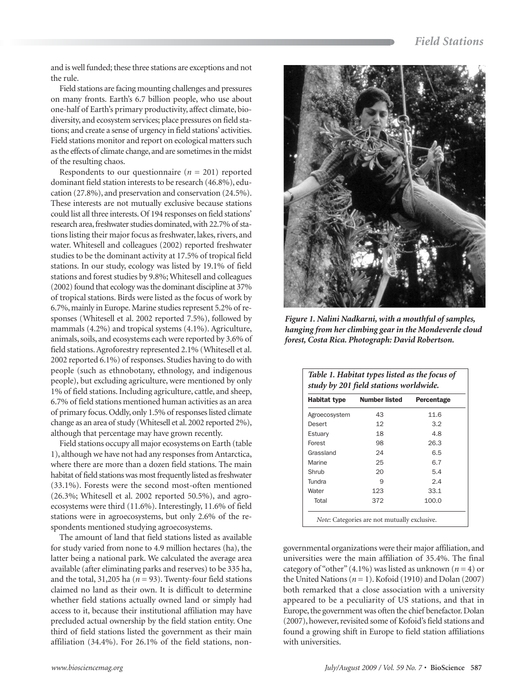and is well funded; these three stations are exceptions and not the rule.

Field stations are facing mounting challenges and pressures on many fronts. Earth's 6.7 billion people, who use about one-half of Earth's primary productivity, affect climate, biodiversity, and ecosystem services; place pressures on field stations; and create a sense of urgency in field stations' activities. Field stations monitor and report on ecological matters such as the effects of climate change, and are sometimes in the midst of the resulting chaos.

Respondents to our questionnaire  $(n = 201)$  reported dominant field station interests to be research (46.8%), education (27.8%), and preservation and conservation (24.5%). These interests are not mutually exclusive because stations could list all three interests. Of 194 responses on field stations' research area, freshwater studies dominated, with 22.7% of stations listing their major focus as freshwater, lakes, rivers, and water. Whitesell and colleagues (2002) reported freshwater studies to be the dominant activity at 17.5% of tropical field stations. In our study, ecology was listed by 19.1% of field stations and forest studies by 9.8%; Whitesell and colleagues (2002) found that ecology was the dominant discipline at 37% of tropical stations. Birds were listed as the focus of work by 6.7%, mainly in Europe. Marine studies represent 5.2% of responses (Whitesell et al. 2002 reported 7.5%), followed by mammals (4.2%) and tropical systems (4.1%). Agriculture, animals, soils, and ecosystems each were reported by 3.6% of field stations. Agroforestry represented 2.1% (Whitesell et al. 2002 reported 6.1%) of responses. Studies having to do with people (such as ethnobotany, ethnology, and indigenous people), but excluding agriculture, were mentioned by only 1% of field stations. Including agriculture, cattle, and sheep, 6.7% of field stations mentioned human activities as an area of primary focus. Oddly, only 1.5% of responses listed climate change as an area of study (Whitesell et al. 2002 reported 2%), although that percentage may have grown recently.

Field stations occupy all major ecosystems on Earth (table 1), although we have not had any responses from Antarctica, where there are more than a dozen field stations. The main habitat of field stations was most frequently listed as freshwater (33.1%). Forests were the second most-often mentioned  $(26.3\%;$  Whitesell et al. 2002 reported 50.5%), and agroecosystems were third (11.6%). Interestingly, 11.6% of field stations were in agroecosystems, but only 2.6% of the respondents mentioned studying agroecosystems.

The amount of land that field stations listed as available for study varied from none to 4.9 million hectares (ha), the latter being a national park. We calculated the average area available (after eliminating parks and reserves) to be 335 ha, and the total,  $31,205$  ha ( $n = 93$ ). Twenty-four field stations claimed no land as their own. It is difficult to determine whether field stations actually owned land or simply had access to it, because their institutional affiliation may have precluded actual ownership by the field station entity. One third of field stations listed the government as their main affiliation (34.4%). For 26.1% of the field stations, non-



*Figure 1. Nalini Nadkarni, with a mouthful of samples, hanging from her climbing gear in the Mondeverde cloud forest, Costa Rica. Photograph: David Robertson.*

| Habitat type  | Number listed | Percentage |
|---------------|---------------|------------|
| Agroecosystem | 43            | 11.6       |
| Desert        | 12            | 3.2        |
| Estuary       | 18            | 4.8        |
| Forest        | 98            | 26.3       |
| Grassland     | 24            | 6.5        |
| Marine        | 25            | 6.7        |
| Shrub         | 20            | 5.4        |
| Tundra        | 9             | 2.4        |
| Water         | 123           | 33.1       |
| Total         | 372           | 100.0      |

governmental organizations were their major affiliation, and universities were the main affiliation of 35.4%. The final category of "other"  $(4.1\%)$  was listed as unknown  $(n = 4)$  or the United Nations ( $n = 1$ ). Kofoid (1910) and Dolan (2007) both remarked that a close association with a university appeared to be a peculiarity of US stations, and that in Europe, the government was often the chief benefactor. Dolan (2007), however, revisited some of Kofoid's field stations and found a growing shift in Europe to field station affiliations with universities.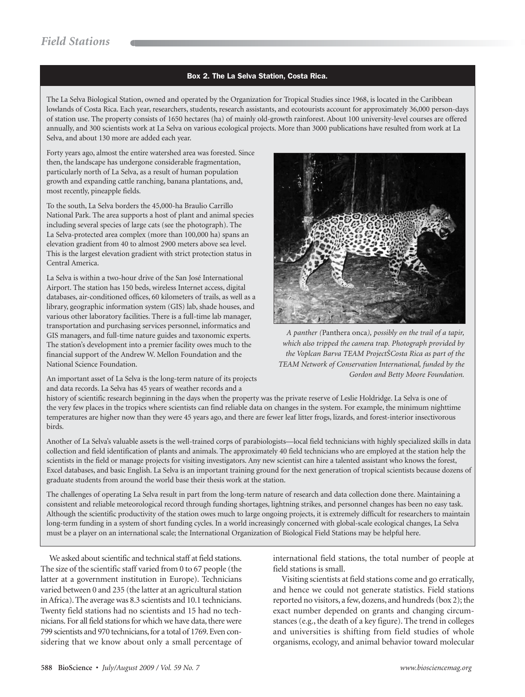# *Field Stations*

## Box 2. The La Selva Station, Costa Rica.

The La Selva Biological Station, owned and operated by the Organization for Tropical Studies since 1968, is located in the Caribbean lowlands of Costa Rica. Each year, researchers, students, research assistants, and ecotourists account for approximately 36,000 person-days of station use. The property consists of 1650 hectares (ha) of mainly old-growth rainforest. About 100 university-level courses are offered annually, and 300 scientists work at La Selva on various ecological projects. More than 3000 publications have resulted from work at La Selva, and about 130 more are added each year.

Forty years ago, almost the entire watershed area was forested. Since then, the landscape has undergone considerable fragmentation, particularly north of La Selva, as a result of human population growth and expanding cattle ranching, banana plantations, and, most recently, pineapple fields.

To the south, La Selva borders the 45,000-ha Braulio Carrillo National Park. The area supports a host of plant and animal species including several species of large cats (see the photograph). The La Selva-protected area complex (more than 100,000 ha) spans an elevation gradient from 40 to almost 2900 meters above sea level. This is the largest elevation gradient with strict protection status in Central America.

La Selva is within a two-hour drive of the San José International Airport. The station has 150 beds, wireless Internet access, digital databases, air-conditioned offices, 60 kilometers of trails, as well as a library, geographic information system (GIS) lab, shade houses, and various other laboratory facilities. There is a full-time lab manager, transportation and purchasing services personnel, informatics and GIS managers, and full-time nature guides and taxonomic experts. The station's development into a premier facility owes much to the financial support of the Andrew W. Mellon Foundation and the National Science Foundation.

An important asset of La Selva is the long-term nature of its projects and data records. La Selva has 45 years of weather records and a



*A panther (*Panthera onca*), possibly on the trail of a tapir, which also tripped the camera trap. Photograph provided by the Voplcan Barva TEAM ProjectŠCosta Rica as part of the TEAM Network of Conservation International, funded by the Gordon and Betty Moore Foundation.*

history of scientific research beginning in the days when the property was the private reserve of Leslie Holdridge. La Selva is one of the very few places in the tropics where scientists can find reliable data on changes in the system. For example, the minimum nighttime temperatures are higher now than they were 45 years ago, and there are fewer leaf litter frogs, lizards, and forest-interior insectivorous birds.

Another of La Selva's valuable assets is the well-trained corps of parabiologists—local field technicians with highly specialized skills in data collection and field identification of plants and animals. The approximately 40 field technicians who are employed at the station help the scientists in the field or manage projects for visiting investigators. Any new scientist can hire a talented assistant who knows the forest, Excel databases, and basic English. La Selva is an important training ground for the next generation of tropical scientists because dozens of graduate students from around the world base their thesis work at the station.

The challenges of operating La Selva result in part from the long-term nature of research and data collection done there. Maintaining a consistent and reliable meteorological record through funding shortages, lightning strikes, and personnel changes has been no easy task. Although the scientific productivity of the station owes much to large ongoing projects, it is extremely difficult for researchers to maintain long-term funding in a system of short funding cycles. In a world increasingly concerned with global-scale ecological changes, La Selva must be a player on an international scale; the International Organization of Biological Field Stations may be helpful here.

We asked about scientific and technical staff at field stations. The size of the scientific staff varied from 0 to 67 people (the latter at a government institution in Europe). Technicians varied between 0 and 235 (the latter at an agricultural station in Africa). The average was 8.3 scientists and 10.1 technicians. Twenty field stations had no scientists and 15 had no technicians. For all field stations for which we have data, there were 799 scientists and 970 technicians, for a total of 1769. Even considering that we know about only a small percentage of international field stations, the total number of people at field stations is small.

Visiting scientists at field stations come and go erratically, and hence we could not generate statistics. Field stations reported no visitors, a few, dozens, and hundreds (box 2); the exact number depended on grants and changing circumstances (e.g., the death of a key figure). The trend in colleges and universities is shifting from field studies of whole organisms, ecology, and animal behavior toward molecular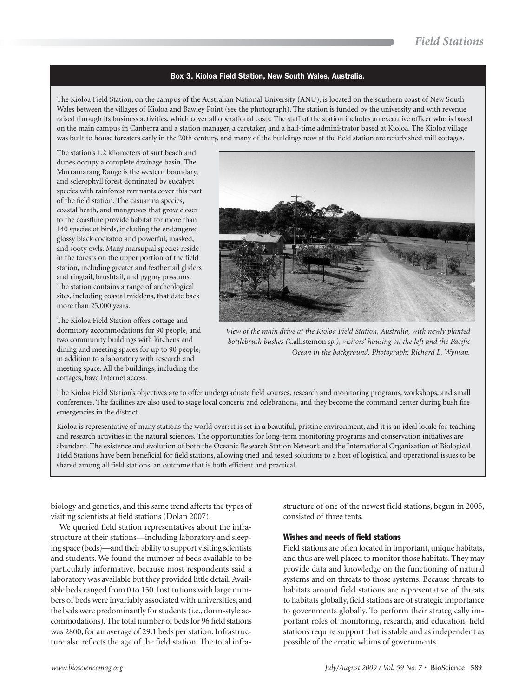## Box 3. Kioloa Field Station, New South Wales, Australia.

The Kioloa Field Station, on the campus of the Australian National University (ANU), is located on the southern coast of New South Wales between the villages of Kioloa and Bawley Point (see the photograph). The station is funded by the university and with revenue raised through its business activities, which cover all operational costs. The staff of the station includes an executive officer who is based on the main campus in Canberra and a station manager, a caretaker, and a half-time administrator based at Kioloa. The Kioloa village was built to house foresters early in the 20th century, and many of the buildings now at the field station are refurbished mill cottages.

The station's 1.2 kilometers of surf beach and dunes occupy a complete drainage basin. The Murramarang Range is the western boundary, and sclerophyll forest dominated by eucalypt species with rainforest remnants cover this part of the field station. The casuarina species, coastal heath, and mangroves that grow closer to the coastline provide habitat for more than 140 species of birds, including the endangered glossy black cockatoo and powerful, masked, and sooty owls. Many marsupial species reside in the forests on the upper portion of the field station, including greater and feathertail gliders and ringtail, brushtail, and pygmy possums. The station contains a range of archeological sites, including coastal middens, that date back more than 25,000 years.

The Kioloa Field Station offers cottage and dormitory accommodations for 90 people, and two community buildings with kitchens and dining and meeting spaces for up to 90 people, in addition to a laboratory with research and meeting space. All the buildings, including the cottages, have Internet access.



*View of the main drive at the Kioloa Field Station, Australia, with newly planted bottlebrush bushes (*Callistemon *sp.), visitors' housing on the left and the Pacific Ocean in the background. Photograph: Richard L. Wyman.* 

The Kioloa Field Station's objectives are to offer undergraduate field courses, research and monitoring programs, workshops, and small conferences. The facilities are also used to stage local concerts and celebrations, and they become the command center during bush fire emergencies in the district.

Kioloa is representative of many stations the world over: it is set in a beautiful, pristine environment, and it is an ideal locale for teaching and research activities in the natural sciences. The opportunities for long-term monitoring programs and conservation initiatives are abundant. The existence and evolution of both the Oceanic Research Station Network and the International Organization of Biological Field Stations have been beneficial for field stations, allowing tried and tested solutions to a host of logistical and operational issues to be shared among all field stations, an outcome that is both efficient and practical.

biology and genetics, and this same trend affects the types of visiting scientists at field stations (Dolan 2007).

We queried field station representatives about the infrastructure at their stations—including laboratory and sleeping space (beds)—and their ability to support visiting scientists and students. We found the number of beds available to be particularly informative, because most respondents said a laboratory was available but they provided little detail. Available beds ranged from 0 to 150. Institutions with large numbers of beds were invariably associated with universities, and the beds were predominantly for students (i.e., dorm-style accommodations). The total number of beds for 96 field stations was 2800, for an average of 29.1 beds per station. Infrastructure also reflects the age of the field station. The total infrastructure of one of the newest field stations, begun in 2005, consisted of three tents.

# Wishes and needs of field stations

Field stations are often located in important, unique habitats, and thus are well placed to monitor those habitats. They may provide data and knowledge on the functioning of natural systems and on threats to those systems. Because threats to habitats around field stations are representative of threats to habitats globally, field stations are of strategic importance to governments globally. To perform their strategically important roles of monitoring, research, and education, field stations require support that is stable and as independent as possible of the erratic whims of governments.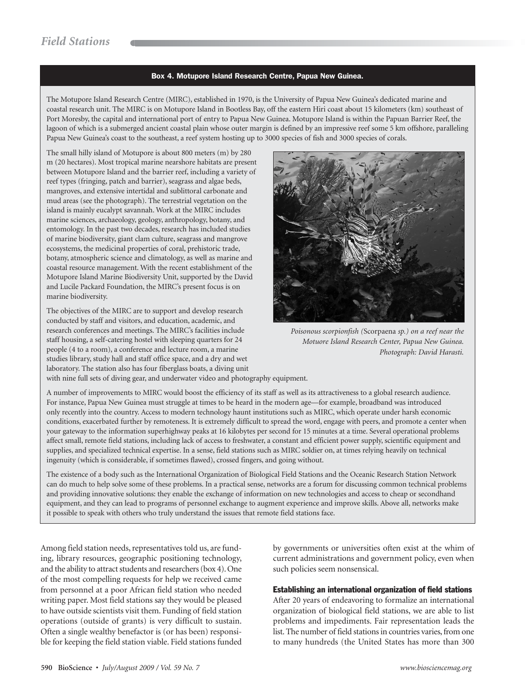# *Field Stations*

## Box 4. Motupore Island Research Centre, Papua New Guinea.

The Motupore Island Research Centre (MIRC), established in 1970, is the University of Papua New Guinea's dedicated marine and coastal research unit. The MIRC is on Motupore Island in Bootless Bay, off the eastern Hiri coast about 15 kilometers (km) southeast of Port Moresby, the capital and international port of entry to Papua New Guinea. Motupore Island is within the Papuan Barrier Reef, the lagoon of which is a submerged ancient coastal plain whose outer margin is defined by an impressive reef some 5 km offshore, paralleling Papua New Guinea's coast to the southeast, a reef system hosting up to 3000 species of fish and 3000 species of corals.

The small hilly island of Motupore is about 800 meters (m) by 280 m (20 hectares). Most tropical marine nearshore habitats are present between Motupore Island and the barrier reef, including a variety of reef types (fringing, patch and barrier), seagrass and algae beds, mangroves, and extensive intertidal and sublittoral carbonate and mud areas (see the photograph). The terrestrial vegetation on the island is mainly eucalypt savannah. Work at the MIRC includes marine sciences, archaeology, geology, anthropology, botany, and entomology. In the past two decades, research has included studies of marine biodiversity, giant clam culture, seagrass and mangrove ecosystems, the medicinal properties of coral, prehistoric trade, botany, atmospheric science and climatology, as well as marine and coastal resource management. With the recent establishment of the Motupore Island Marine Biodiversity Unit, supported by the David and Lucile Packard Foundation, the MIRC's present focus is on marine biodiversity.

The objectives of the MIRC are to support and develop research conducted by staff and visitors, and education, academic, and research conferences and meetings. The MIRC's facilities include staff housing, a self-catering hostel with sleeping quarters for 24 people (4 to a room), a conference and lecture room, a marine studies library, study hall and staff office space, and a dry and wet laboratory. The station also has four fiberglass boats, a diving unit



*Poisonous scorpionfish (*Scorpaena *sp.) on a reef near the Motuore Island Research Center, Papua New Guinea. Photograph: David Harasti.*

with nine full sets of diving gear, and underwater video and photography equipment.

A number of improvements to MIRC would boost the efficiency of its staff as well as its attractiveness to a global research audience. For instance, Papua New Guinea must struggle at times to be heard in the modern age—for example, broadband was introduced only recently into the country. Access to modern technology haunt institutions such as MIRC, which operate under harsh economic conditions, exacerbated further by remoteness. It is extremely difficult to spread the word, engage with peers, and promote a center when your gateway to the information superhighway peaks at 16 kilobytes per second for 15 minutes at a time. Several operational problems affect small, remote field stations, including lack of access to freshwater, a constant and efficient power supply, scientific equipment and supplies, and specialized technical expertise. In a sense, field stations such as MIRC soldier on, at times relying heavily on technical ingenuity (which is considerable, if sometimes flawed), crossed fingers, and going without.

The existence of a body such as the International Organization of Biological Field Stations and the Oceanic Research Station Network can do much to help solve some of these problems. In a practical sense, networks are a forum for discussing common technical problems and providing innovative solutions: they enable the exchange of information on new technologies and access to cheap or secondhand equipment, and they can lead to programs of personnel exchange to augment experience and improve skills. Above all, networks make it possible to speak with others who truly understand the issues that remote field stations face.

Among field station needs, representatives told us, are funding, library resources, geographic positioning technology, and the ability to attract students and researchers (box 4). One of the most compelling requests for help we received came from personnel at a poor African field station who needed writing paper. Most field stations say they would be pleased to have outside scientists visit them. Funding of field station operations (outside of grants) is very difficult to sustain. Often a single wealthy benefactor is (or has been) responsible for keeping the field station viable. Field stations funded by governments or universities often exist at the whim of current administrations and government policy, even when such policies seem nonsensical.

# Establishing an international organization of field stations

After 20 years of endeavoring to formalize an international organization of biological field stations, we are able to list problems and impediments. Fair representation leads the list. The number of field stations in countries varies, from one to many hundreds (the United States has more than 300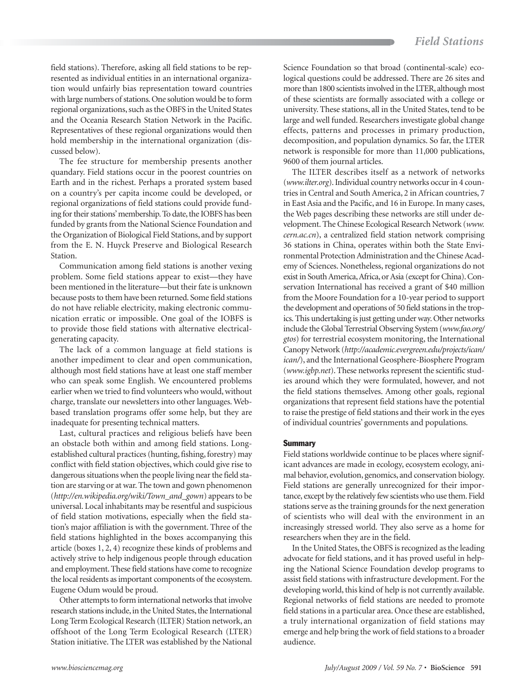field stations). Therefore, asking all field stations to be represented as individual entities in an international organization would unfairly bias representation toward countries with large numbers of stations. One solution would be to form regional organizations, such as the OBFS in the United States and the Oceania Research Station Network in the Pacific. Representatives of these regional organizations would then hold membership in the international organization (discussed below).

The fee structure for membership presents another quandary. Field stations occur in the poorest countries on Earth and in the richest. Perhaps a prorated system based on a country's per capita income could be developed, or regional organizations of field stations could provide funding for their stations' membership. To date, the IOBFS has been funded by grants from the National Science Foundation and the Organization of Biological Field Stations, and by support from the E. N. Huyck Preserve and Biological Research Station.

Communication among field stations is another vexing problem. Some field stations appear to exist—they have been mentioned in the literature—but their fate is unknown because posts to them have been returned. Some field stations do not have reliable electricity, making electronic communication erratic or impossible. One goal of the IOBFS is to provide those field stations with alternative electricalgenerating capacity.

The lack of a common language at field stations is another impediment to clear and open communication, although most field stations have at least one staff member who can speak some English. We encountered problems earlier when we tried to find volunteers who would, without charge, translate our newsletters into other languages. Webbased translation programs offer some help, but they are inadequate for presenting technical matters.

Last, cultural practices and religious beliefs have been an obstacle both within and among field stations. Longestablished cultural practices (hunting, fishing, forestry) may conflict with field station objectives, which could give rise to dangerous situations when the people living near the field station are starving or at war. The town and gown phenomenon (*http://en.wikipedia.org/wiki/Town\_and\_gown*) appears to be universal. Local inhabitants may be resentful and suspicious of field station motivations, especially when the field station's major affiliation is with the government. Three of the field stations highlighted in the boxes accompanying this article (boxes 1, 2, 4) recognize these kinds of problems and actively strive to help indigenous people through education and employment. These field stations have come to recognize the local residents as important components of the ecosystem. Eugene Odum would be proud.

Other attempts to form international networks that involve research stations include, in the United States, the International Long Term Ecological Research (ILTER) Station network, an offshoot of the Long Term Ecological Research (LTER) Station initiative. The LTER was established by the National

Science Foundation so that broad (continental-scale) ecological questions could be addressed. There are 26 sites and more than 1800 scientists involved in the LTER, although most of these scientists are formally associated with a college or university. These stations, all in the United States, tend to be large and well funded. Researchers investigate global change effects, patterns and processes in primary production, decomposition, and population dynamics. So far, the LTER network is responsible for more than 11,000 publications, 9600 of them journal articles.

The ILTER describes itself as a network of networks (*www.ilter.org*). Individual country networks occur in 4 countries in Central and South America, 2 in African countries, 7 in East Asia and the Pacific, and 16 in Europe. In many cases, the Web pages describing these networks are still under development. The Chinese Ecological Research Network (*www. cern.ac.cn*), a centralized field station network comprising 36 stations in China, operates within both the State Environmental Protection Administration and the Chinese Academy of Sciences. Nonetheless, regional organizations do not exist in South America, Africa, or Asia (except for China). Conservation International has received a grant of \$40 million from the Moore Foundation for a 10-year period to support the development and operations of 50 field stations in the tropics. This undertaking is just getting under way. Other networks include the Global Terrestrial Observing System (*www.fao.org/ gtos*) for terrestrial ecosystem monitoring, the International Canopy Network (*http://academic.evergreen.edu/projects/ican/ ican/*), and the International Geosphere-Biosphere Program (*www.igbp.net*). These networks represent the scientific studies around which they were formulated, however, and not the field stations themselves. Among other goals, regional organizations that represent field stations have the potential to raise the prestige of field stations and their work in the eyes of individual countries' governments and populations.

# **Summary**

Field stations worldwide continue to be places where significant advances are made in ecology, ecosystem ecology, animal behavior, evolution, genomics, and conservation biology. Field stations are generally unrecognized for their importance, except by the relatively few scientists who use them. Field stations serve as the training grounds for the next generation of scientists who will deal with the environment in an increasingly stressed world. They also serve as a home for researchers when they are in the field.

In the United States, the OBFS is recognized as the leading advocate for field stations, and it has proved useful in helping the National Science Foundation develop programs to assist field stations with infrastructure development. For the developing world, this kind of help is not currently available. Regional networks of field stations are needed to promote field stations in a particular area. Once these are established, a truly international organization of field stations may emerge and help bring the work of field stations to a broader audience.